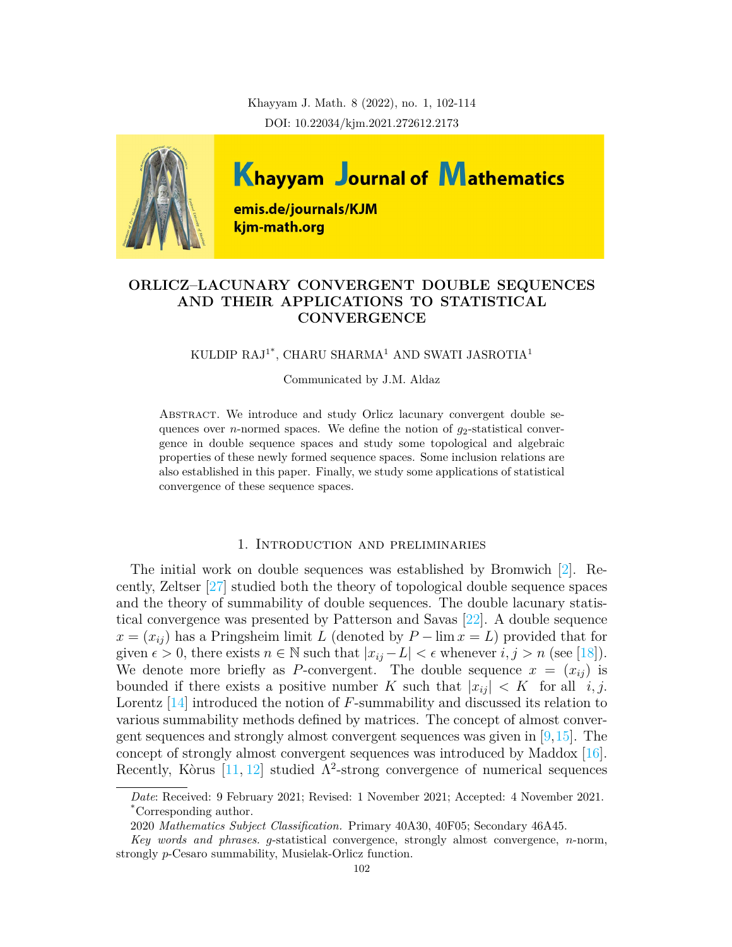Khayyam J. Math. 8 (2022), no. 1, 102-114 DOI: 10.22034/kjm.2021.272612.2173



# **ORLICZ–LACUNARY CONVERGENT DOUBLE SEQUENCES AND THEIR APPLICATIONS TO STATISTICAL CONVERGENCE**

KULDIP RAJ1\*, CHARU SHARMA<sup>1</sup> AND SWATI JASROTIA<sup>1</sup>

Communicated by J.M. Aldaz

Abstract. We introduce and study Orlicz lacunary convergent double sequences over *n*-normed spaces. We define the notion of  $g_2$ -statistical convergence in double sequence spaces and study some topological and algebraic properties of these newly formed sequence spaces. Some inclusion relations are also established in this paper. Finally, we study some applications of statistical convergence of these sequence spaces.

### 1. Introduction and preliminaries

The initial work on double sequences was established by Bromwich[[2\]](#page-11-0). Recently, Zeltser [\[27\]](#page-12-0) studied both the theory of topological double sequence spaces and the theory of summability of double sequences. The double lacunary statistical convergence was presented by Patterson and Savas[[22\]](#page-12-1). A double sequence  $x = (x_{ij})$  has a Pringsheim limit *L* (denoted by  $P - \lim x = L$ ) provided that for given  $\epsilon > 0$ , there exists  $n \in \mathbb{N}$  such that  $|x_{ij} - L| < \epsilon$  whenever  $i, j > n$  (see [\[18](#page-12-2)]). We denote more briefly as *P*-convergent. The double sequence  $x = (x_{ij})$  is bounded if there exists a positive number *K* such that  $|x_{ii}| \leq K$  for all *i, j.* Lorentz [[14](#page-11-1)] introduced the notion of *F*-summability and discussed its relation to various summability methods defined by matrices. The concept of almost convergent sequences and strongly almost convergent sequences was given in  $[9,15]$  $[9,15]$ . The concept of strongly almost convergent sequences was introduced by Maddox [\[16\]](#page-11-4). Recently, Kòrus  $[11, 12]$  $[11, 12]$  $[11, 12]$  $[11, 12]$  studied  $\Lambda^2$ -strong convergence of numerical sequences

*Date*: Received: 9 February 2021; Revised: 1 November 2021; Accepted: 4 November 2021. \*Corresponding author.

<sup>2020</sup> *Mathematics Subject Classification.* Primary 40A30, 40F05; Secondary 46A45.

*Key words and phrases. g*-statistical convergence, strongly almost convergence, *n*-norm, strongly *p*-Cesaro summability, Musielak-Orlicz function.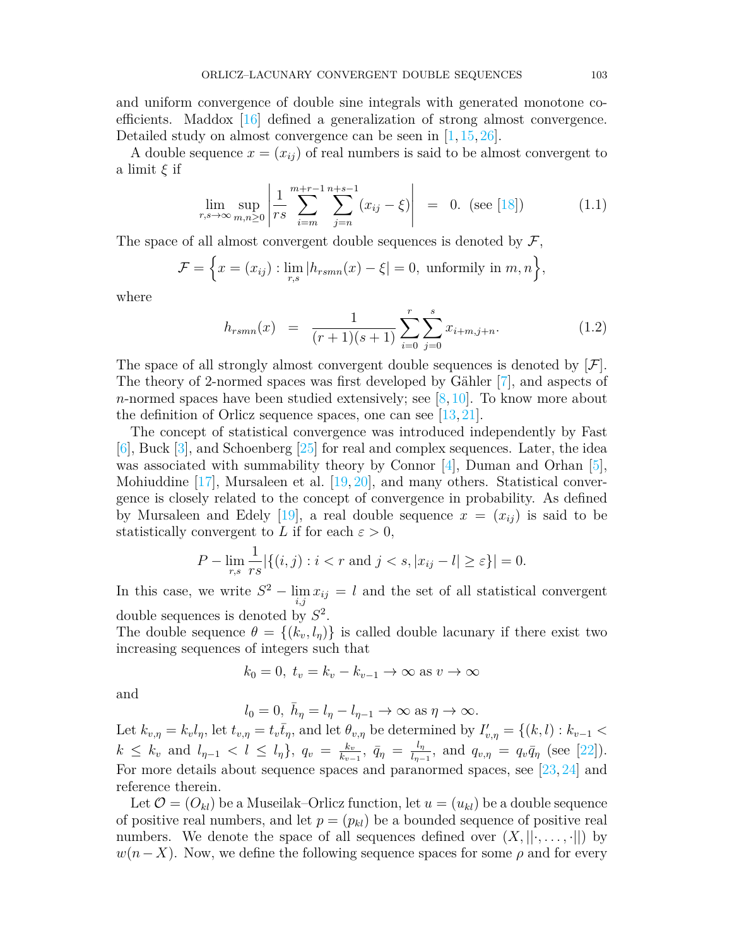and uniform convergence of double sine integrals with generated monotone coefficients. Maddox [[16](#page-11-4)] defined a generalization of strong almost convergence. Detailed study on almost convergence can be seen in [[1](#page-11-7), [15,](#page-11-3) [26](#page-12-3)].

A double sequence  $x = (x_{ij})$  of real numbers is said to be almost convergent to a limit *ξ* if

$$
\lim_{r,s \to \infty} \sup_{m,n \ge 0} \left| \frac{1}{rs} \sum_{i=m}^{m+r-1} \sum_{j=n}^{n+s-1} (x_{ij} - \xi) \right| = 0. \text{ (see [18])}
$$
 (1.1)

The space of all almost convergent double sequences is denoted by *F*,

$$
\mathcal{F} = \left\{ x = (x_{ij}) : \lim_{r,s} |h_{rsmn}(x) - \xi| = 0, \text{ uniformly in } m, n \right\},\
$$

where

<span id="page-1-0"></span>
$$
h_{rsmn}(x) = \frac{1}{(r+1)(s+1)} \sum_{i=0}^{r} \sum_{j=0}^{s} x_{i+m,j+n}.
$$
 (1.2)

The space of all strongly almost convergent double sequences is denoted by [*F*]. The theory of 2-normed spaces was first developed by Gähler [[7\]](#page-11-8), and aspects of *n*-normed spaces have been studied extensively; see [\[8](#page-11-9), [10\]](#page-11-10). To know more about the definition of Orlicz sequence spaces, one can see[[13,](#page-11-11) [21](#page-12-4)].

The concept of statistical convergence was introduced independently by Fast [\[6](#page-11-12)], Buck [[3\]](#page-11-13), and Schoenberg [\[25\]](#page-12-5) for real and complex sequences. Later, the idea was associated with summability theory by Connor  $[4]$ , Duman and Orhan  $[5]$  $[5]$ , Mohiuddine  $[17]$  $[17]$  $[17]$ , Mursaleen et al.  $[19, 20]$  $[19, 20]$ , and many others. Statistical convergence is closely related to the concept of convergence in probability. As defined by Mursaleen and Edely [\[19\]](#page-12-6), a real double sequence  $x = (x_{ij})$  is said to be statistically convergent to *L* if for each  $\varepsilon > 0$ ,

$$
P - \lim_{r,s} \frac{1}{rs} |\{(i,j) : i < r \text{ and } j < s, |x_{ij} - l| \ge \varepsilon\}| = 0.
$$

In this case, we write  $S^2 - \lim_{i,j} x_{ij} = l$  and the set of all statistical convergent double sequences is denoted by *S* 2 .

The double sequence  $\theta = \{(k_v, l_n)\}\$ is called double lacunary if there exist two increasing sequences of integers such that

$$
k_0 = 0, t_v = k_v - k_{v-1} \to \infty \text{ as } v \to \infty
$$

and

$$
l_0 = 0, \ \bar{h}_{\eta} = l_{\eta} - l_{\eta - 1} \to \infty \text{ as } \eta \to \infty.
$$

Let  $k_{v,\eta} = k_v l_{\eta}$ , let  $t_{v,\eta} = t_v \overline{t}_{\eta}$ , and let  $\theta_{v,\eta}$  be determined by  $I'_{v,\eta} = \{(k,l) : k_{v-1} <$  $k \leq k_v$  and  $l_{\eta-1} < l \leq l_{\eta}$ ,  $q_v = \frac{k_v}{k_{v-1}}$  $\frac{k_v}{k_{v-1}}, \ \bar{q}_{\eta} = \frac{l_{\eta}}{l_{\eta-1}}$  $\frac{l_{\eta}}{l_{\eta-1}}$ , and  $q_{v,\eta} = q_v \bar{q}_{\eta}$  (see [\[22](#page-12-1)]). For more details about sequence spaces and paranormed spaces, see [[23](#page-12-8), [24](#page-12-9)] and reference therein.

Let  $\mathcal{O} = (O_{kl})$  be a Museilak–Orlicz function, let  $u = (u_{kl})$  be a double sequence of positive real numbers, and let  $p = (p_{kl})$  be a bounded sequence of positive real numbers. We denote the space of all sequences defined over  $(X, \|\cdot, \dots, \cdot\|)$  by  $w(n-X)$ . Now, we define the following sequence spaces for some  $\rho$  and for every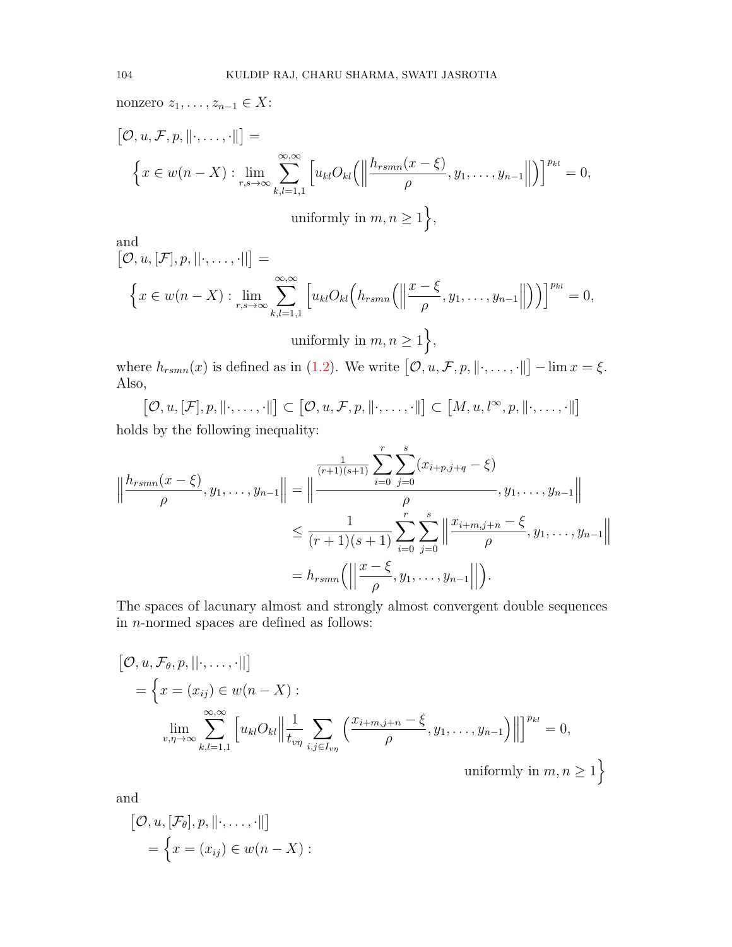nonzero *z*1*, . . . , z<sup>n</sup>−*<sup>1</sup> *∈ X*:

$$
[\mathcal{O}, u, \mathcal{F}, p, \|\cdot, \ldots, \cdot\|] =
$$
  

$$
\left\{ x \in w(n-X) : \lim_{r,s \to \infty} \sum_{k,l=1,1}^{\infty, \infty} \left[ u_{kl} O_{kl} \left( \left\| \frac{h_{rsmn}(x-\xi)}{\rho}, y_1, \ldots, y_{n-1} \right\| \right) \right]^{p_{kl}} = 0,
$$
  
uniformly in  $m, n \ge 1$ ,

and

$$
[\mathcal{O}, u, [\mathcal{F}], p, ||\cdot, \ldots, \cdot||] =
$$
  

$$
\left\{ x \in w(n-X) : \lim_{r,s \to \infty} \sum_{k,l=1,1}^{\infty, \infty} \left[ u_{kl} O_{kl} \left( h_{rsmn} \left( \left\| \frac{x-\xi}{\rho}, y_1, \ldots, y_{n-1} \right\| \right) \right) \right]^{p_{kl}} = 0,
$$

uniformly in 
$$
m, n \ge 1
$$

where  $h_{rsmn}(x)$  is defined as in ([1.2\)](#page-1-0). We write  $[0, u, \mathcal{F}, p, \|\cdot, \ldots, \cdot\|] - \lim x = \xi$ . Also,

 $[\mathcal{O}, u, [\mathcal{F}], p, \|\cdot, \ldots, \cdot\|] \subset [\mathcal{O}, u, \mathcal{F}, p, \|\cdot, \ldots, \cdot\|] \subset [M, u, l^{\infty}, p, \|\cdot, \ldots, \cdot\|]$ holds by the following inequality:

$$
\left\|\frac{h_{rsmn}(x-\xi)}{\rho}, y_1, \dots, y_{n-1}\right\| = \left\|\frac{\frac{1}{(r+1)(s+1)}\sum_{i=0}^r\sum_{j=0}^s (x_{i+p,j+q} - \xi)}{\rho}, y_1, \dots, y_{n-1}\right\|
$$
  

$$
\leq \frac{1}{(r+1)(s+1)}\sum_{i=0}^r\sum_{j=0}^s \left\|\frac{x_{i+m,j+n} - \xi}{\rho}, y_1, \dots, y_{n-1}\right\|
$$
  

$$
= h_{rsmn}\left(\left\|\frac{x-\xi}{\rho}, y_1, \dots, y_{n-1}\right\|\right).
$$

The spaces of lacunary almost and strongly almost convergent double sequences in *n*-normed spaces are defined as follows:

$$
[\mathcal{O}, u, \mathcal{F}_{\theta}, p, ||\cdot, \dots, \cdot||]
$$
  
\n
$$
= \left\{ x = (x_{ij}) \in w(n - X) : \lim_{v, \eta \to \infty} \sum_{k,l=1,1}^{\infty, \infty} \left[ u_{kl} O_{kl} \middle\| \frac{1}{t_{v\eta}} \sum_{i,j \in I_{v\eta}} \left( \frac{x_{i+m,j+n} - \xi}{\rho}, y_1, \dots, y_{n-1} \right) \right\| \right\}^{p_{kl}} = 0,
$$
  
\nuniformly in  $m, n \ge 1$ }

and

$$
[\mathcal{O}, u, [\mathcal{F}_{\theta}], p, \|\cdot, \ldots, \cdot\|]
$$
  
= 
$$
\left\{x = (x_{ij}) \in w(n - X) :
$$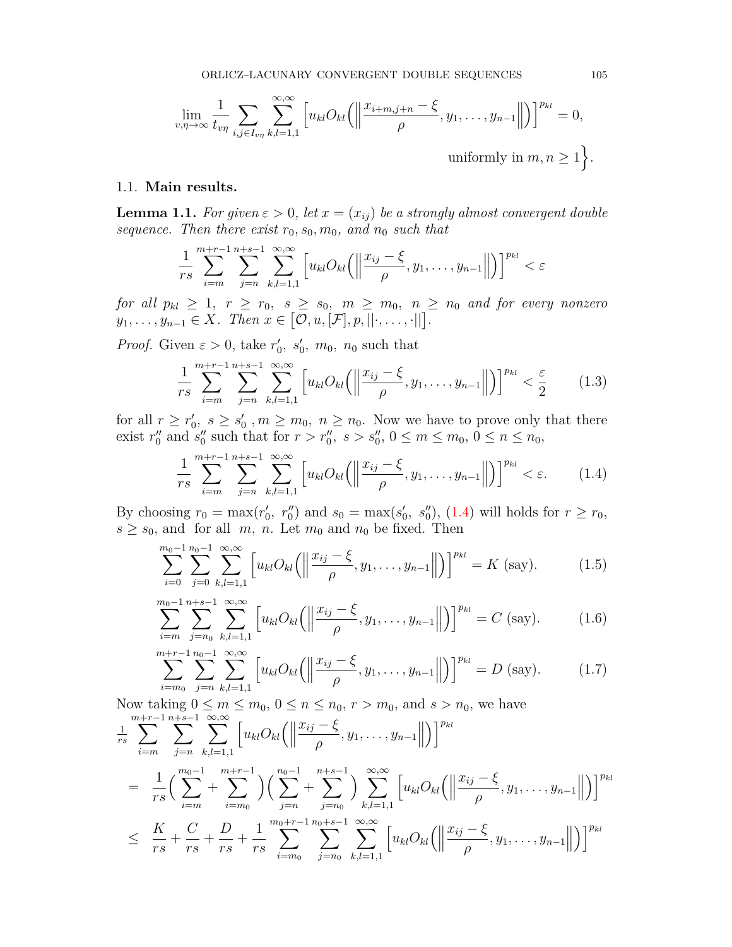$$
\lim_{v,\eta \to \infty} \frac{1}{t_{v\eta}} \sum_{i,j \in I_{v\eta}} \sum_{k,l=1,1}^{\infty, \infty} \left[ u_{kl} O_{kl} \left( \left\| \frac{x_{i+m,j+n} - \xi}{\rho}, y_1, \dots, y_{n-1} \right\| \right) \right]^{p_{kl}} = 0,
$$
\nuniformly in  $m, n \geq 1$ 

#### 1.1. **Main results.**

<span id="page-3-5"></span>**Lemma 1.1.** *For given*  $\varepsilon > 0$ *, let*  $x = (x_{ij})$  *be a strongly almost convergent double sequence. Then there exist*  $r_0$ ,  $s_0$ ,  $m_0$ , and  $n_0$  *such that* 

$$
\frac{1}{rs}\sum_{i=m}^{m+r-1}\sum_{j=n}^{n+s-1}\sum_{k,l=1,1}^{\infty,\infty}\left[u_{kl}O_{kl}\left(\left\|\frac{x_{ij}-\xi}{\rho},y_1,\ldots,y_{n-1}\right\|\right)\right]^{p_{kl}}<\varepsilon
$$

*for all*  $p_{kl} \geq 1$ ,  $r \geq r_0$ ,  $s \geq s_0$ ,  $m \geq m_0$ ,  $n \geq n_0$  and for every nonzero  $y_1, \ldots, y_{n-1} \in X$ *. Then*  $x \in [\mathcal{O}, u, [\mathcal{F}], p, ||\cdot, \ldots, \cdot||].$ 

*Proof.* Given  $\varepsilon > 0$ , take  $r'_0$ ,  $s'_0$ ,  $m_0$ ,  $n_0$  such that

<span id="page-3-4"></span>
$$
\frac{1}{rs} \sum_{i=m}^{m+r-1} \sum_{j=n}^{n+s-1} \sum_{k,l=1,1}^{\infty,\infty} \left[ u_{kl} O_{kl} \left( \left\| \frac{x_{ij} - \xi}{\rho}, y_1, \dots, y_{n-1} \right\| \right) \right]^{p_{kl}} < \frac{\varepsilon}{2}
$$
(1.3)

for all  $r \geq r'_0, s \geq s'_0, m \geq m_0, n \geq n_0$ . Now we have to prove only that there exist  $r''_0$  and  $s''_0$  such that for  $r > r''_0$ ,  $s > s''_0$ ,  $0 \le m \le m_0$ ,  $0 \le n \le n_0$ ,

<span id="page-3-0"></span>
$$
\frac{1}{rs} \sum_{i=m}^{m+r-1} \sum_{j=n}^{n+s-1} \sum_{k,l=1,1}^{\infty, \infty} \left[ u_{kl} O_{kl} \left( \left\| \frac{x_{ij} - \xi}{\rho}, y_1, \dots, y_{n-1} \right\| \right) \right]^{p_{kl}} < \varepsilon. \tag{1.4}
$$

By choosing  $r_0 = \max(r'_0, r''_0)$  and  $s_0 = \max(s'_0, s''_0)$ , ([1.4](#page-3-0)) will holds for  $r \ge r_0$ ,  $s \geq s_0$ , and for all *m*, *n*. Let  $m_0$  and  $n_0$  be fixed. Then

<span id="page-3-1"></span>
$$
\sum_{i=0}^{m_0-1} \sum_{j=0}^{n_0-1} \sum_{k,l=1,1}^{\infty, \infty} \left[ u_{kl} O_{kl} \left( \left\| \frac{x_{ij} - \xi}{\rho}, y_1, \dots, y_{n-1} \right\| \right) \right]^{p_{kl}} = K \text{ (say)}.
$$
 (1.5)

<span id="page-3-2"></span>
$$
\sum_{i=m}^{m_0-1} \sum_{j=n_0}^{n+s-1} \sum_{k,l=1,1}^{\infty, \infty} \left[ u_{kl} O_{kl} \left( \left\| \frac{x_{ij} - \xi}{\rho}, y_1, \dots, y_{n-1} \right\| \right) \right]^{p_{kl}} = C \text{ (say)}.
$$
 (1.6)

<span id="page-3-3"></span>
$$
\sum_{i=m_0}^{m+r-1} \sum_{j=n}^{n_0-1} \sum_{k,l=1,1}^{\infty, \infty} \left[ u_{kl} O_{kl} \left( \left\| \frac{x_{ij} - \xi}{\rho}, y_1, \dots, y_{n-1} \right\| \right) \right]^{p_{kl}} = D \text{ (say)}.
$$
 (1.7)

Now taking  $0 \le m \le m_0$ ,  $0 \le n \le n_0$ ,  $r > m_0$ , and  $s > n_0$ , we have

$$
\sum_{i=m}^{m+r-1} \sum_{j=n}^{n+s-1} \sum_{k,l=1,1}^{\infty} \left[ u_{kl} O_{kl} \left( \left\| \frac{x_{ij} - \xi}{\rho}, y_1, \dots, y_{n-1} \right\| \right) \right]^{p_{kl}}
$$
\n
$$
= \frac{1}{rs} \Big( \sum_{i=m}^{m_0-1} + \sum_{i=m_0}^{m+r-1} \Big) \Big( \sum_{j=n}^{n_0-1} + \sum_{j=n_0}^{n+s-1} \Big) \sum_{k,l=1,1}^{\infty, \infty} \left[ u_{kl} O_{kl} \left( \left\| \frac{x_{ij} - \xi}{\rho}, y_1, \dots, y_{n-1} \right\| \right) \right]^{p_{kl}}
$$
\n
$$
\leq \frac{K}{rs} + \frac{C}{rs} + \frac{D}{rs} + \frac{1}{rs} \sum_{i=m_0}^{m_0+r-1} \sum_{j=n_0}^{n_0+s-1} \sum_{k,l=1,1}^{\infty, \infty} \left[ u_{kl} O_{kl} \left( \left\| \frac{x_{ij} - \xi}{\rho}, y_1, \dots, y_{n-1} \right\| \right) \right]^{p_{kl}}
$$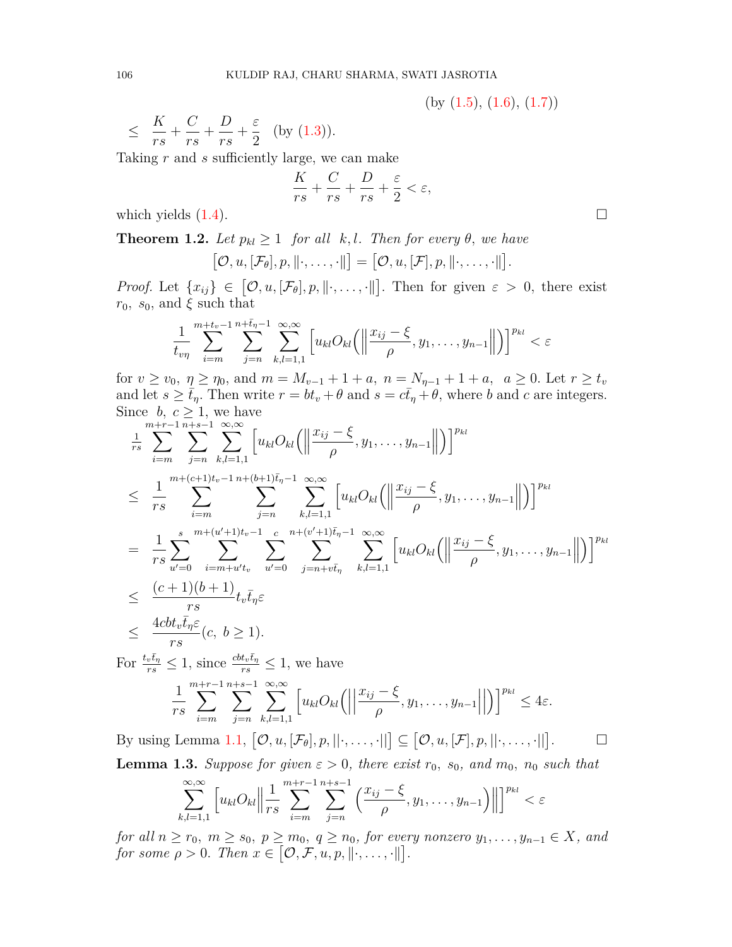$(by (1.5), (1.6), (1.7))$  $(by (1.5), (1.6), (1.7))$  $(by (1.5), (1.6), (1.7))$  $(by (1.5), (1.6), (1.7))$  $(by (1.5), (1.6), (1.7))$  $(by (1.5), (1.6), (1.7))$  $(by (1.5), (1.6), (1.7))$ 

$$
\leq \frac{K}{rs} + \frac{C}{rs} + \frac{D}{rs} + \frac{\varepsilon}{2} \quad \text{(by (1.3))}.
$$

Taking *r* and *s* sufficiently large, we can make

$$
\frac{K}{rs} + \frac{C}{rs} + \frac{D}{rs} + \frac{\varepsilon}{2} < \varepsilon,
$$

which yields  $(1.4)$  $(1.4)$ .  $\Box$ 

**Theorem 1.2.** *Let*  $p_{kl} \geq 1$  *for all k, l. Then for every*  $\theta$ *, we have* 

$$
[\mathcal{O}, u, [\mathcal{F}_{\theta}], p, \|\cdot, \ldots, \cdot\|] = [\mathcal{O}, u, [\mathcal{F}], p, \|\cdot, \ldots, \cdot\|].
$$

*Proof.* Let  $\{x_{ij}\}\in[\mathcal{O},u,[\mathcal{F}_{\theta}],p,\|\cdot,\ldots,\cdot\|]$ . Then for given  $\varepsilon > 0$ , there exist *r*<sub>0</sub>*, s*<sub>0</sub>*,* and  $\xi$  such that

$$
\frac{1}{t_{v\eta}}\sum_{i=m}^{m+t_v-1}\sum_{j=n}^{n+\bar{t}_{\eta}-1}\sum_{k,l=1,1}^{\infty,\infty}\left[u_{kl}O_{kl}\left(\left\|\frac{x_{ij}-\xi}{\rho},y_1,\ldots,y_{n-1}\right\|\right)\right]^{p_{kl}}<\varepsilon
$$

for  $v \ge v_0$ ,  $\eta \ge \eta_0$ , and  $m = M_{v-1} + 1 + a$ ,  $n = N_{\eta-1} + 1 + a$ ,  $a \ge 0$ . Let  $r \ge t_v$ and let  $s \geq \bar{t}_\eta$ . Then write  $r = bt_v + \theta$  and  $s = c\bar{t}_\eta + \theta$ , where *b* and *c* are integers. Since *b*,  $c \geq 1$ , we have

$$
\frac{1}{rs} \sum_{i=m}^{m+r-1} \sum_{j=n}^{n+s-1} \sum_{k,l=1,1}^{\infty, \infty} \left[ u_{kl} O_{kl} \left( \left\| \frac{x_{ij} - \xi}{\rho}, y_1, \dots, y_{n-1} \right| \right] \right]^{p_{kl}}
$$
\n
$$
\leq \frac{1}{rs} \sum_{i=m}^{m+(c+1)t_v-1} \sum_{j=n}^{n+(b+1)\bar{t}_v-1} \sum_{k,l=1,1}^{\infty, \infty} \left[ u_{kl} O_{kl} \left( \left\| \frac{x_{ij} - \xi}{\rho}, y_1, \dots, y_{n-1} \right| \right] \right]^{p_{kl}}
$$
\n
$$
= \frac{1}{rs} \sum_{u'=0}^{s} \sum_{i=m+u't_v}^{m+(u'+1)t_v-1} \sum_{u'=0}^{c} \sum_{j=n+vt_{\eta}}^{n+(v'+1)\bar{t}_\eta-1} \sum_{k,l=1,1}^{\infty, \infty} \left[ u_{kl} O_{kl} \left( \left\| \frac{x_{ij} - \xi}{\rho}, y_1, \dots, y_{n-1} \right| \right] \right]^{p_{kl}}
$$
\n
$$
\leq \frac{(c+1)(b+1)}{rs} t_v \bar{t}_\eta \varepsilon
$$
\n
$$
\leq \frac{4cbt_v \bar{t}_\eta \varepsilon}{rs} (c, b \geq 1).
$$

For 
$$
\frac{t_v \bar{t}_\eta}{rs} \leq 1
$$
, since  $\frac{cbt_v \bar{t}_\eta}{rs} \leq 1$ , we have\n
$$
\frac{1}{rs} \sum_{i=m}^{m+r-1} \sum_{j=n}^{n+s-1} \sum_{k,l=1,1}^{\infty,\infty} \left[ u_{kl} O_{kl} \left( \left| \frac{x_{ij} - \xi}{\rho}, y_1, \dots, y_{n-1} \right| \right] \right)^{p_{kl}} \leq 4\varepsilon.
$$

By using Lemma [1.1,](#page-3-5)  $[0, u, [\mathcal{F}_{\theta}], p, ||\cdot, \ldots, \cdot||] \subseteq [0, u, [\mathcal{F}], p, ||\cdot, \ldots, \cdot||]$  $\Box$ **Lemma 1.3.** *Suppose for given*  $\varepsilon > 0$ *, there exist*  $r_0$ *, s<sub>0</sub>, and*  $m_0$ *,*  $n_0$  *such that* 

$$
\sum_{k,l=1,1}^{\infty,\infty} \left[ u_{kl} O_{kl} \middle\| \frac{1}{rs} \sum_{i=m}^{m+r-1} \sum_{j=n}^{n+s-1} \left( \frac{x_{ij} - \xi}{\rho}, y_1, \dots, y_{n-1} \right) \right\| \right]^{p_{kl}} < \varepsilon
$$

for all  $n \ge r_0$ ,  $m \ge s_0$ ,  $p \ge m_0$ ,  $q \ge n_0$ , for every nonzero  $y_1, \ldots, y_{n-1} \in X$ , and *for some*  $\rho > 0$ *. Then*  $x \in [\mathcal{O}, \mathcal{F}, u, p, \|\cdot, \dots, \cdot\|].$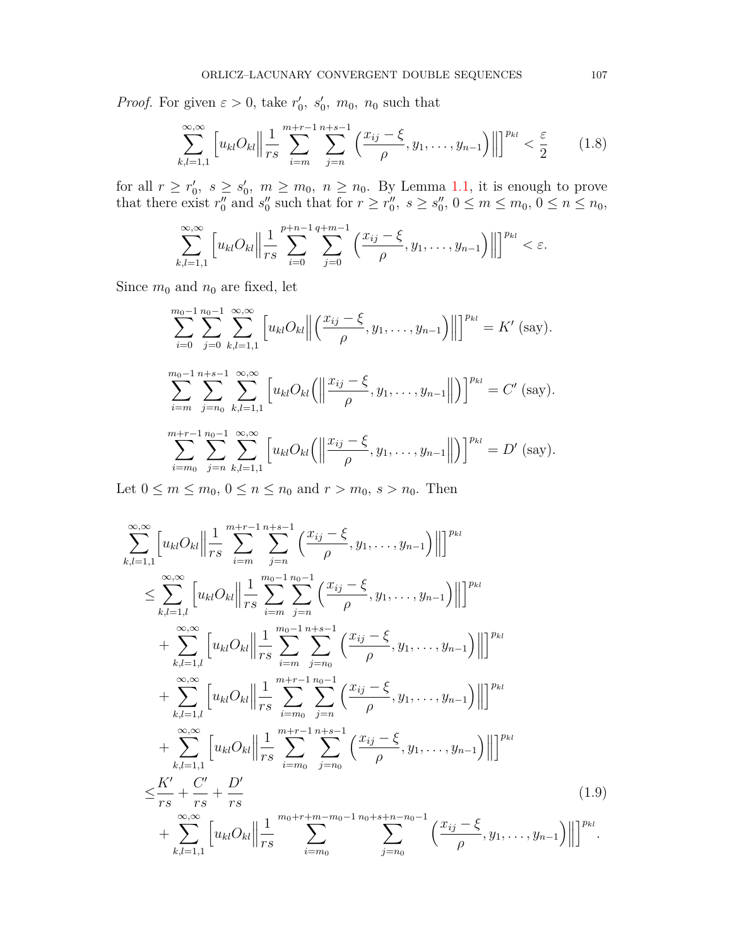*Proof.* For given  $\varepsilon > 0$ , take  $r'_0$ ,  $s'_0$ ,  $m_0$ ,  $n_0$  such that

<span id="page-5-0"></span>
$$
\sum_{k,l=1,1}^{\infty,\infty} \left[ u_{kl} O_{kl} \middle\| \frac{1}{rs} \sum_{i=m}^{m+r-1} \sum_{j=n}^{n+s-1} \left( \frac{x_{ij} - \xi}{\rho}, y_1, \dots, y_{n-1} \right) \right\| \right]^{p_{kl}} < \frac{\varepsilon}{2}
$$
 (1.8)

for all  $r \ge r'_0$ ,  $s \ge s'_0$ ,  $m \ge m_0$ ,  $n \ge n_0$ . By Lemma [1.1,](#page-3-5) it is enough to prove that there exist  $r_0''$  and  $s_0''$  such that for  $r \ge r_0'', s \ge s_0'', 0 \le m \le m_0, 0 \le n \le n_0$ ,

$$
\sum_{k,l=1,1}^{\infty,\infty} \left[ u_{kl} O_{kl} \middle\| \frac{1}{rs} \sum_{i=0}^{p+n-1} \sum_{j=0}^{q+m-1} \left( \frac{x_{ij} - \xi}{\rho}, y_1, \dots, y_{n-1} \right) \right\| \right]^{p_{kl}} < \varepsilon.
$$

Since  $m_0$  and  $n_0$  are fixed, let

$$
\sum_{i=0}^{m_0-1} \sum_{j=0}^{n_0-1} \sum_{k,l=1,1}^{\infty, \infty} \left[ u_{kl} O_{kl} \middle\| \left( \frac{x_{ij} - \xi}{\rho}, y_1, \dots, y_{n-1} \right) \middle\| \right]^{p_{kl}} = K' \text{ (say)}.
$$
  

$$
\sum_{i=m}^{m_0-1} \sum_{j=n_0}^{n+s-1} \sum_{k,l=1,1}^{\infty, \infty} \left[ u_{kl} O_{kl} \middle( \left\| \frac{x_{ij} - \xi}{\rho}, y_1, \dots, y_{n-1} \right\| \right) \right]^{p_{kl}} = C' \text{ (say)}.
$$
  

$$
\sum_{i=m_0}^{m+r-1} \sum_{j=n}^{n_0-1} \sum_{k,l=1,1}^{\infty, \infty} \left[ u_{kl} O_{kl} \middle( \left\| \frac{x_{ij} - \xi}{\rho}, y_1, \dots, y_{n-1} \right\| \right) \right]^{p_{kl}} = D' \text{ (say)}.
$$

Let  $0 \le m \le m_0, 0 \le n \le n_0$  and  $r > m_0, s > n_0$ . Then

<span id="page-5-1"></span>
$$
\sum_{k,l=1,1}^{\infty,\infty} \left[ u_{kl} O_{kl} \right] \frac{1}{rs} \sum_{i=m}^{m+r-1} \sum_{j=n}^{n+s-1} \left( \frac{x_{ij} - \xi}{\rho}, y_1, \dots, y_{n-1} \right) \Big| \Big|^{p_{kl}} \n\leq \sum_{k,l=1,l}^{\infty,\infty} \left[ u_{kl} O_{kl} \right] \frac{1}{rs} \sum_{i=m}^{m_0-1} \sum_{j=n}^{n_0-1} \left( \frac{x_{ij} - \xi}{\rho}, y_1, \dots, y_{n-1} \right) \Big| \Big|^{p_{kl}} \n+ \sum_{k,l=1,l}^{\infty,\infty} \left[ u_{kl} O_{kl} \right] \frac{1}{rs} \sum_{i=m}^{m_0-1} \sum_{j=n_0}^{n+s-1} \left( \frac{x_{ij} - \xi}{\rho}, y_1, \dots, y_{n-1} \right) \Big| \Big|^{p_{kl}} \n+ \sum_{k,l=1,l}^{\infty,\infty} \left[ u_{kl} O_{kl} \right] \frac{1}{rs} \sum_{i=m_0}^{m+r-1} \sum_{j=n}^{n_0-1} \left( \frac{x_{ij} - \xi}{\rho}, y_1, \dots, y_{n-1} \right) \Big| \Big|^{p_{kl}} \n+ \sum_{k,l=1,l}^{\infty,\infty} \left[ u_{kl} O_{kl} \right] \frac{1}{rs} \sum_{i=m_0}^{m+r-1} \sum_{j=n_0}^{n+s-1} \left( \frac{x_{ij} - \xi}{\rho}, y_1, \dots, y_{n-1} \right) \Big| \Big|^{p_{kl}} \n\leq \frac{K'}{rs} + \frac{C'}{rs} + \frac{D'}{rs} \qquad (1.9) \n+ \sum_{k,l=1,1}^{\infty,\infty} \left[ u_{kl} O_{kl} \right] \frac{1}{rs} \sum_{i=m_0}^{m_0+r+m-m_0-1} \frac{n_0+s+n-n_0-1}{s-m_0} \left( \frac{x_{ij} - \xi}{\rho}, y_1, \dots, y_{n-1} \right) \Big| \Big|^{p_{kl}}.
$$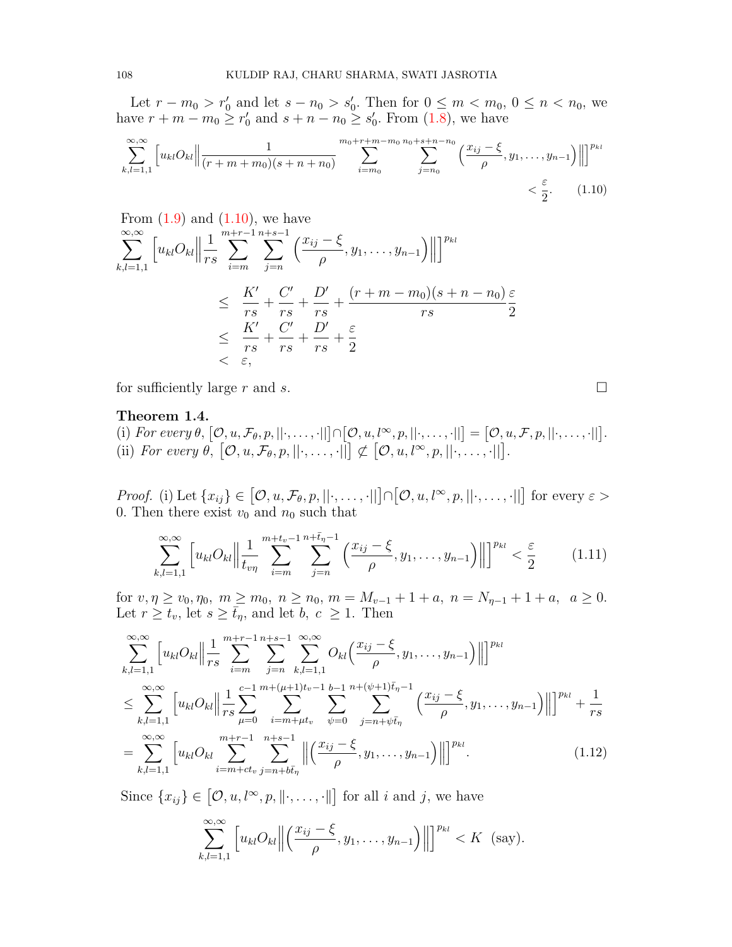Let  $r - m_0 > r'_0$  and let  $s - n_0 > s'_0$ . Then for  $0 \le m < m_0, 0 \le n < n_0$ , we have  $r + m - m_0 \ge r'_0$  and  $s + n - n_0 \ge s'_0$ . From ([1.8](#page-5-0)), we have

$$
\sum_{k,l=1,1}^{\infty,\infty} \left[ u_{kl} O_{kl} \middle\| \frac{1}{(r+m+m_0)(s+n+n_0)} \sum_{i=m_0}^{m_0+r+m-m_0} \sum_{j=n_0}^{n_0+s+n-n_0} \left( \frac{x_{ij} - \xi}{\rho}, y_1, \dots, y_{n-1} \right) \right\| \right]^{p_{kl}} < \frac{\varepsilon}{2}.
$$
 (1.10)

From (1.9) and (1.10), we have  
\n
$$
\sum_{k,l=1,1}^{\infty,\infty} \left[ u_{kl} O_{kl} \middle\| \frac{1}{rs} \sum_{i=m}^{m+r-1} \sum_{j=n}^{n+s-1} \left( \frac{x_{ij} - \xi}{\rho}, y_1, \dots, y_{n-1} \right) \right\| \right]^{p_{kl}}
$$
\n
$$
\leq \frac{K'}{rs} + \frac{C'}{rs} + \frac{D'}{rs} + \frac{(r+m-m_0)(s+n-n_0)}{rs} \frac{\varepsilon}{2}
$$
\n
$$
\leq \frac{K'}{rs} + \frac{C'}{rs} + \frac{D'}{rs} + \frac{\varepsilon}{2}
$$
\n
$$
< \varepsilon,
$$

for sufficiently large  $r$  and  $s$ .  $\Box$ 

## **Theorem 1.4.**

(i) For every  $\theta$ ,  $[0, u, \mathcal{F}_{\theta}, p, ||\cdot, \ldots, \cdot||] \cap [0, u, l^{\infty}, p, ||\cdot, \ldots, \cdot||] = [0, u, \mathcal{F}, p, ||\cdot, \ldots, \cdot||].$  $\left\{\n \begin{bmatrix}\n \mathcal{O}, u, \mathcal{F}_{\theta}, p, \|\cdot, \ldots, \cdot\| \end{bmatrix}\n \right|\n \not\subset \n \left[\n \mathcal{O}, u, l^{\infty}, p, \|\cdot, \ldots, \cdot\| \right].$ 

*Proof.* (i) Let  $\{x_{ij}\}\in[\mathcal{O},u,\mathcal{F}_{\theta},p,||\cdot,\ldots,||] \cap [\mathcal{O},u,l^{\infty},p,||\cdot,\ldots,||]$  for every  $\varepsilon >$ 0. Then there exist  $v_0$  and  $n_0$  such that

<span id="page-6-1"></span>
$$
\sum_{k,l=1,1}^{\infty,\infty} \left[ u_{kl} O_{kl} \middle\| \frac{1}{t_{v\eta}} \sum_{i=m}^{m+t_v-1} \sum_{j=n}^{n+\bar{t}_{\eta}-1} \left( \frac{x_{ij}-\xi}{\rho}, y_1, \dots, y_{n-1} \right) \right\| \right]^{p_{kl}} < \frac{\varepsilon}{2}
$$
 (1.11)

for  $v, \eta \ge v_0, \eta_0, m \ge m_0, n \ge n_0, m = M_{v-1} + 1 + a, n = N_{\eta-1} + 1 + a, a \ge 0.$ Let  $r \geq t_v$ , let  $s \geq \bar{t}_\eta$ , and let  $b, c \geq 1$ . Then

$$
\sum_{k,l=1,1}^{\infty,\infty} \left[ u_{kl} O_{kl} \right] \left. \left\| \frac{1}{rs} \sum_{i=m}^{m+r-1} \sum_{j=n}^{n+s-1} \sum_{k,l=1,1}^{\infty,\infty} O_{kl} \left( \frac{x_{ij} - \xi}{\rho}, y_1, \dots, y_{n-1} \right) \right| \right]^{p_{kl}} \n\leq \sum_{k,l=1,1}^{\infty,\infty} \left[ u_{kl} O_{kl} \right] \left. \left\| \frac{1}{rs} \sum_{\mu=0}^{c-1} \sum_{i=m+\mu t_v}^{m+(\mu+1)t_v-1} \sum_{\psi=0}^{b-1} \sum_{j=n+\psi \bar{t}_\eta}^{n+(\psi+1)\bar{t}_\eta-1} \left( \frac{x_{ij} - \xi}{\rho}, y_1, \dots, y_{n-1} \right) \right| \right]^{p_{kl}} + \frac{1}{rs} \n= \sum_{k,l=1,1}^{\infty,\infty} \left[ u_{kl} O_{kl} \sum_{i=m+ct_v}^{m+r-1} \sum_{j=n+b\bar{t}_\eta}^{n+s-1} \left\| \left( \frac{x_{ij} - \xi}{\rho}, y_1, \dots, y_{n-1} \right) \right\| \right]^{p_{kl}}.
$$
\n(1.12)

Since  $\{x_{ij}\}\in\left[0, u, l^{\infty}, p, \|\cdot, \ldots, \cdot\|\right]$  for all *i* and *j*, we have

$$
\sum_{k,l=1,1}^{\infty,\infty} \left[ u_{kl} O_{kl} \middle\| \left( \frac{x_{ij} - \xi}{\rho}, y_1, \dots, y_{n-1} \right) \middle\| \right]^{p_{kl}} < K \ \ (\text{say}).
$$

<span id="page-6-2"></span><span id="page-6-0"></span>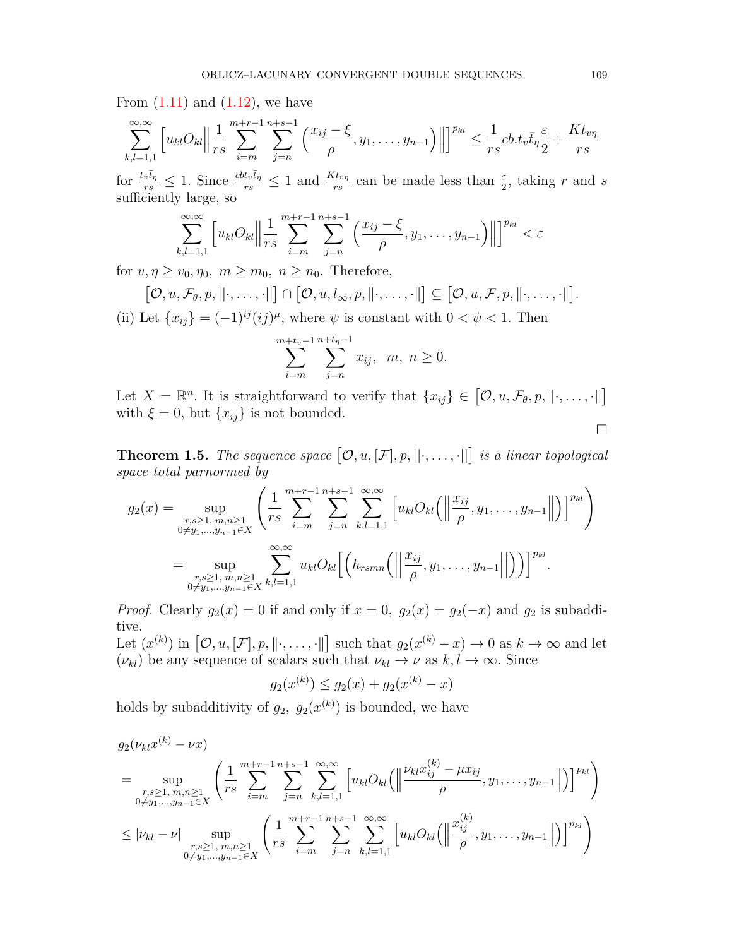From  $(1.11)$  $(1.11)$  and  $(1.12)$ , we have

$$
\sum_{k,l=1,1}^{\infty,\infty} \left[ u_{kl} O_{kl} \middle\| \frac{1}{rs} \sum_{i=m}^{m+r-1} \sum_{j=n}^{n+s-1} \left( \frac{x_{ij} - \xi}{\rho}, y_1, \dots, y_{n-1} \right) \right\| \right]^{p_{kl}} \leq \frac{1}{rs} cb.t_v \bar{t}_\eta \frac{\varepsilon}{2} + \frac{Kt_{v\eta}}{rs}
$$

for  $\frac{t_v\bar{t}_\eta}{rs} \leq 1$ . Since  $\frac{cbt_v\bar{t}_\eta}{rs} \leq 1$  and  $\frac{Kt_{vp}}{rs}$  can be made less than  $\frac{\varepsilon}{2}$ , taking r and s sufficiently large, so

$$
\sum_{k,l=1,1}^{\infty,\infty} \left[ u_{kl} O_{kl} \middle\| \frac{1}{rs} \sum_{i=m}^{m+r-1} \sum_{j=n}^{n+s-1} \left( \frac{x_{ij} - \xi}{\rho}, y_1, \dots, y_{n-1} \right) \right\| \right]^{p_{kl}} < \varepsilon
$$

for  $v, \eta \ge v_0, \eta_0, m \ge m_0, n \ge n_0$ . Therefore,

$$
[\mathcal{O}, u, \mathcal{F}_{\theta}, p, ||\cdot, \ldots, \cdot||] \cap [\mathcal{O}, u, l_{\infty}, p, ||\cdot, \ldots, \cdot||] \subseteq [\mathcal{O}, u, \mathcal{F}, p, ||\cdot, \ldots, \cdot||].
$$

(ii) Let  $\{x_{ij}\} = (-1)^{ij} (ij)^{\mu}$ , where  $\psi$  is constant with  $0 < \psi < 1$ . Then

$$
\sum_{i=m}^{m+t_v-1} \sum_{j=n}^{n+\bar{t}_\eta-1} x_{ij}, \ \ m, \ n \ge 0.
$$

Let  $X = \mathbb{R}^n$ . It is straightforward to verify that  $\{x_{ij}\}\in [\mathcal{O}, u, \mathcal{F}_{\theta}, p, \|\cdot, \ldots, \cdot\|]$ with  $\xi = 0$ , but  $\{x_{ij}\}$  is not bounded. □

**Theorem 1.5.** The sequence space  $[\mathcal{O}, u, [\mathcal{F}], p, ||\cdot, \ldots, \cdot||]$  is a linear topological *space total parnormed by*

$$
g_2(x) = \sup_{\substack{r,s \ge 1, m,n \ge 1 \\ 0 \neq y_1, \dots, y_{n-1} \in X}} \left( \frac{1}{rs} \sum_{i=m}^{m+r-1} \sum_{j=n}^{n+s-1} \sum_{k,l=1,1}^{\infty, \infty} \left[ u_{kl} O_{kl} \left( \left\| \frac{x_{ij}}{\rho}, y_1, \dots, y_{n-1} \right\| \right) \right]^{p_{kl}} \right)
$$
  
= 
$$
\sup_{\substack{r,s \ge 1, m,n \ge 1 \\ 0 \neq y_1, \dots, y_{n-1} \in X}} \sum_{k,l=1,1}^{\infty, \infty} u_{kl} O_{kl} \left[ \left( h_{rsmn} \left( \left\| \frac{x_{ij}}{\rho}, y_1, \dots, y_{n-1} \right\| \right) \right) \right]^{p_{kl}}.
$$

*Proof.* Clearly  $g_2(x) = 0$  if and only if  $x = 0$ ,  $g_2(x) = g_2(-x)$  and  $g_2$  is subadditive.

Let  $(x^{(k)})$  in  $[\mathcal{O}, u, [\mathcal{F}], p, \|\cdot, \ldots, \cdot\|]$  such that  $g_2(x^{(k)} - x) \to 0$  as  $k \to \infty$  and let  $(\nu_{kl})$  be any sequence of scalars such that  $\nu_{kl} \to \nu$  as  $k, l \to \infty$ . Since

$$
g_2(x^{(k)}) \le g_2(x) + g_2(x^{(k)} - x)
$$

holds by subadditivity of  $g_2$ ,  $g_2(x^{(k)})$  is bounded, we have

$$
g_2(\nu_{kl}x^{(k)} - \nu x)
$$
\n
$$
= \sup_{\substack{r,s \ge 1, m,n \ge 1 \\ 0 \ne y_1, \dots, y_{n-1} \in X}} \left( \frac{1}{rs} \sum_{i=m}^{m+r-1} \sum_{j=n}^{n+s-1} \sum_{k,l=1,1}^{\infty, \infty} \left[ u_{kl} O_{kl} \left( \left\| \frac{\nu_{kl} x_{ij}^{(k)} - \mu x_{ij}}{\rho}, y_1, \dots, y_{n-1} \right\| \right) \right]^{p_{kl}} \right)
$$
\n
$$
\le |\nu_{kl} - \nu| \sup_{\substack{r,s \ge 1, m,n \ge 1 \\ 0 \ne y_1, \dots, y_{n-1} \in X}} \left( \frac{1}{rs} \sum_{i=m}^{m+r-1} \sum_{j=n}^{n+s-1} \sum_{k,l=1,1}^{\infty, \infty} \left[ u_{kl} O_{kl} \left( \left\| \frac{x_{ij}^{(k)}}{\rho}, y_1, \dots, y_{n-1} \right\| \right) \right]^{p_{kl}} \right)
$$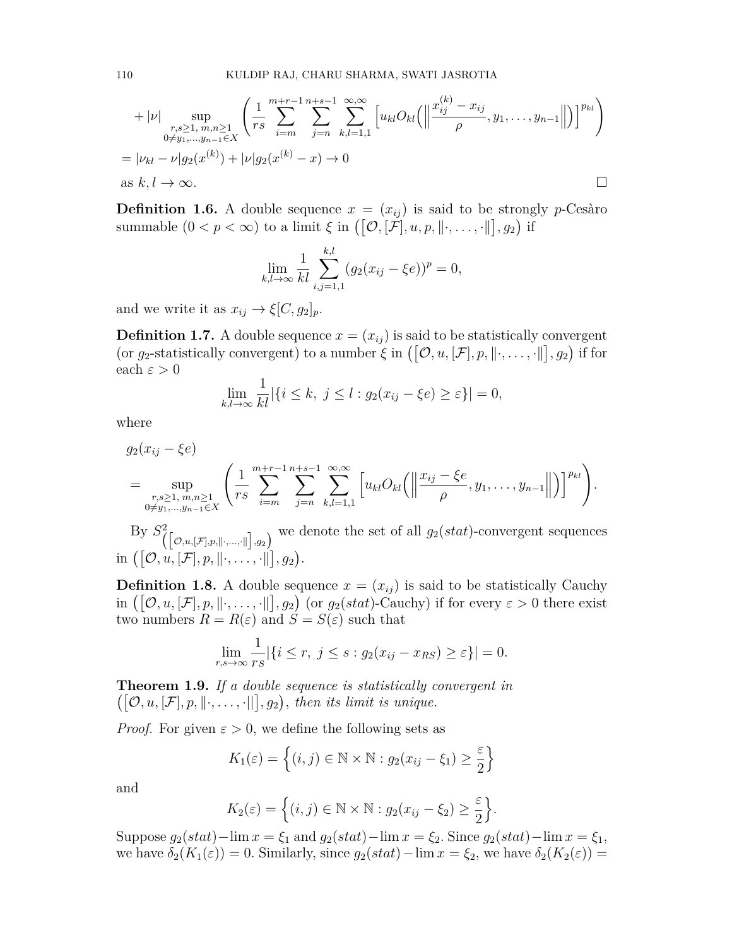+ 
$$
|\nu|
$$
  $\sup_{\substack{r,s\geq 1,\ m,n\geq 1\\0\neq y_1,\dots,y_{n-1}\in X}} \left( \frac{1}{rs} \sum_{i=m}^{m+r-1} \sum_{j=n}^{n+s-1} \sum_{k,l=1,1}^{\infty,\infty} \left[ u_{kl} O_{kl} \left( \left\| \frac{x_{ij}^{(k)} - x_{ij}}{\rho}, y_1, \dots, y_{n-1} \right\| \right) \right]^{p_{kl}} \right)$   
\n=  $|\nu_{kl} - \nu| g_2(x^{(k)}) + |\nu| g_2(x^{(k)} - x) \to 0$   
\nas  $k, l \to \infty$ .

**Definition 1.6.** A double sequence  $x = (x_{ij})$  is said to be strongly *p*-Cesàro summable  $(0 < p < \infty)$  to a limit  $\xi$  in  $([\mathcal{O}, [\mathcal{F}], u, p, \|\cdot, \dots, \cdot\|], g_2)$  if

$$
\lim_{k,l \to \infty} \frac{1}{kl} \sum_{i,j=1,1}^{k,l} (g_2(x_{ij} - \xi e))^p = 0,
$$

and we write it as  $x_{ij} \rightarrow \xi[C, g_2]_p$ .

**Definition 1.7.** A double sequence  $x = (x_{ij})$  is said to be statistically convergent (or  $g_2$ -statistically convergent) to a number  $\zeta$  in  $([\mathcal{O}, u, [\mathcal{F}], p, \|\cdot, \dots, \cdot\|], g_2)$  if for each  $\varepsilon > 0$ 

$$
\lim_{k,l\to\infty}\frac{1}{kl}|\{i\leq k,\ j\leq l: g_2(x_{ij}-\xi e)\geq \varepsilon\}|=0,
$$

where

$$
g_2(x_{ij} - \xi e) = \sup_{\substack{r,s \ge 1, m,n \ge 1 \\ 0 \ne y_1, ..., y_{n-1} \in X}} \left( \frac{1}{rs} \sum_{i=m}^{m+r-1} \sum_{j=n}^{n+s-1} \sum_{k,l=1,1}^{\infty, \infty} \left[ u_{kl} O_{kl} \left( \left\| \frac{x_{ij} - \xi e}{\rho}, y_1, ..., y_{n-1} \right\| \right) \right]^{p_{kl}} \right).
$$

By  $S^2(\text{[}\mathcal{O},\text{u},\text{[}F],p,\text{[}^{\prime},\ldots,\text{[}^{\prime}]\text{]},g_2)$  we denote the set of all  $g_2(stat)$ -convergent sequences  $\text{in } ([\mathcal{O}, u, [\mathcal{F}], p, \|\cdot, \ldots, \cdot\|], g_2).$ 

**Definition 1.8.** A double sequence  $x = (x_{ij})$  is said to be statistically Cauchy in  $([\mathcal{O}, u, [\mathcal{F}], p, \|\cdot, \ldots, \cdot\|], g_2)$  (or  $g_2(stat)$ -Cauchy) if for every  $\varepsilon > 0$  there exist two numbers  $R = R(\varepsilon)$  and  $\acute{S} = S(\varepsilon)$  such that

$$
\lim_{r,s\to\infty}\frac{1}{rs}|\{i\leq r,\ j\leq s:g_2(x_{ij}-x_{RS})\geq \varepsilon\}|=0.
$$

**Theorem 1.9.** *If a double sequence is statistically convergent in*  $([\mathcal{O}, u, [\mathcal{F}], p, \|\cdot, \ldots, \cdot\|], g_2),$  then its limit is unique.

*Proof.* For given  $\varepsilon > 0$ , we define the following sets as

$$
K_1(\varepsilon) = \left\{ (i,j) \in \mathbb{N} \times \mathbb{N} : g_2(x_{ij} - \xi_1) \ge \frac{\varepsilon}{2} \right\}
$$

and

$$
K_2(\varepsilon) = \left\{ (i,j) \in \mathbb{N} \times \mathbb{N} : g_2(x_{ij} - \xi_2) \ge \frac{\varepsilon}{2} \right\}.
$$

Suppose  $g_2(stat)$ −lim  $x = \xi_1$  and  $g_2(stat)$ −lim  $x = \xi_2$ . Since  $g_2(stat)$ −lim  $x = \xi_1$ , we have  $\delta_2(K_1(\varepsilon)) = 0$ . Similarly, since  $g_2(stat) - \lim x = \xi_2$ , we have  $\delta_2(K_2(\varepsilon)) =$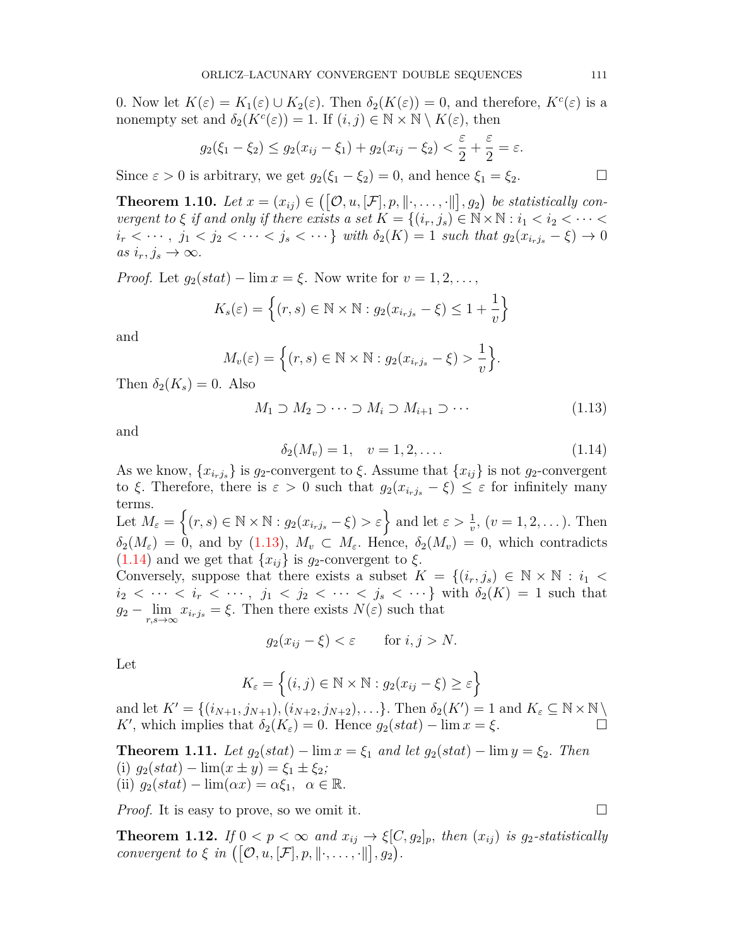0*.* Now let  $K(\varepsilon) = K_1(\varepsilon) \cup K_2(\varepsilon)$ . Then  $\delta_2(K(\varepsilon)) = 0$ , and therefore,  $K^c(\varepsilon)$  is a nonempty set and  $\delta_2(K^c(\varepsilon)) = 1$ . If  $(i, j) \in \mathbb{N} \times \mathbb{N} \setminus K(\varepsilon)$ , then

$$
g_2(\xi_1 - \xi_2) \le g_2(x_{ij} - \xi_1) + g_2(x_{ij} - \xi_2) < \frac{\varepsilon}{2} + \frac{\varepsilon}{2} = \varepsilon.
$$

Since  $\varepsilon > 0$  is arbitrary, we get  $g_2(\xi_1 - \xi_2) = 0$ , and hence  $\xi_1 = \xi_2$ .

**Theorem 1.10.** Let  $x = (x_{ij}) \in ([0, u, [\mathcal{F}], p, \|\cdot, \ldots, \cdot\|], g_2)$  be statistically con*vergent to*  $\xi$  *if and only if there exists a set*  $K = \{(i_r, j_s) \in \mathbb{N} \times \mathbb{N} : i_1 < i_2 < \cdots < i_r\}$  $i_r < \cdots$ ,  $j_1 < j_2 < \cdots < j_s < \cdots$ } with  $\delta_2(K) = 1$  such that  $g_2(x_{i_rj_s} - \xi) \to 0$  $as$   $i_r, j_s \rightarrow \infty$ .

*Proof.* Let  $g_2(stat) - \lim x = \xi$ . Now write for  $v = 1, 2, \ldots$ ,

$$
K_s(\varepsilon) = \left\{ (r, s) \in \mathbb{N} \times \mathbb{N} : g_2(x_{i_r j_s} - \xi) \le 1 + \frac{1}{v} \right\}
$$

and

$$
M_{\nu}(\varepsilon) = \left\{ (r, s) \in \mathbb{N} \times \mathbb{N} : g_2(x_{i_r j_s} - \xi) > \frac{1}{\nu} \right\}.
$$

Then  $\delta_2(K_s) = 0$ . Also

<span id="page-9-0"></span>
$$
M_1 \supset M_2 \supset \cdots \supset M_i \supset M_{i+1} \supset \cdots \tag{1.13}
$$

and

<span id="page-9-1"></span>
$$
\delta_2(M_v) = 1, \quad v = 1, 2, \dots \tag{1.14}
$$

As we know,  $\{x_{i,j}\}\$ is  $g_2$ -convergent to  $\xi$ . Assume that  $\{x_{ij}\}\$ is not  $g_2$ -convergent to *ξ*. Therefore, there is  $ε > 0$  such that  $g_2(x_{i_rj_s} - ξ) ≤ ε$  for infinitely many terms.

Let  $M_{\varepsilon} = \{(r, s) \in \mathbb{N} \times \mathbb{N} : g_2(x_{i_rj_s} - \xi) > \varepsilon\}$  and let  $\varepsilon > \frac{1}{v}$ ,  $(v = 1, 2, ...)$ . Then  $\delta_2(M_\varepsilon) = 0$ , and by  $(1.13)$  $(1.13)$ ,  $M_v \subset M_\varepsilon$ . Hence,  $\delta_2(M_v) = 0$ , which contradicts  $(1.14)$  $(1.14)$  and we get that  $\{x_{ij}\}\$ is *g*<sub>2</sub>-convergent to  $\xi$ .

Conversely, suppose that there exists a subset  $K = \{(i_r, j_s) \in \mathbb{N} \times \mathbb{N} : i_1 <$  $i_2 < \cdots < i_r < \cdots$ ,  $j_1 < j_2 < \cdots < j_s < \cdots$ } with  $\delta_2(K) = 1$  such that *g*<sup>2</sup> *−* lim  $\lim_{r,s\to\infty} x_{i_rj_s} = \xi$ . Then there exists  $N(\varepsilon)$  such that

$$
g_2(x_{ij} - \xi) < \varepsilon \qquad \text{for } i, j > N.
$$

Let

$$
K_{\varepsilon} = \left\{ (i, j) \in \mathbb{N} \times \mathbb{N} : g_2(x_{ij} - \xi) \ge \varepsilon \right\}
$$

and let  $K' = \{(i_{N+1}, j_{N+1}), (i_{N+2}, j_{N+2}), \ldots\}$ . Then  $\delta_2(K') = 1$  and  $K_{\varepsilon} \subseteq \mathbb{N} \times \mathbb{N} \setminus \mathbb{N}$ *K*<sup>*'*</sup>, which implies that  $\delta_2(K_\varepsilon) = 0$ . Hence  $g_2(stat) - \lim x = \xi$ . □

<span id="page-9-2"></span>**Theorem 1.11.** *Let*  $g_2(stat) - \lim x = \xi_1$  *and let*  $g_2(stat) - \lim y = \xi_2$ . *Then* (i)  $g_2(stat) - \lim(x \pm y) = \xi_1 \pm \xi_2;$  $(iii)$   $g_2(stat) - \lim(\alpha x) = \alpha \xi_1, \ \alpha \in \mathbb{R}.$ 

*Proof.* It is easy to prove, so we omit it.  $\square$ 

<span id="page-9-3"></span>**Theorem 1.12.** *If*  $0 < p < \infty$  *and*  $x_{ij} \rightarrow \xi[C, g_2]_p$ *, then*  $(x_{ij})$  *is*  $g_2$ -statistically *convergent to*  $\xi$  *in*  $([\mathcal{O}, u, [\mathcal{F}], p, \|\cdot, \ldots, \cdot\|], g_2)$ .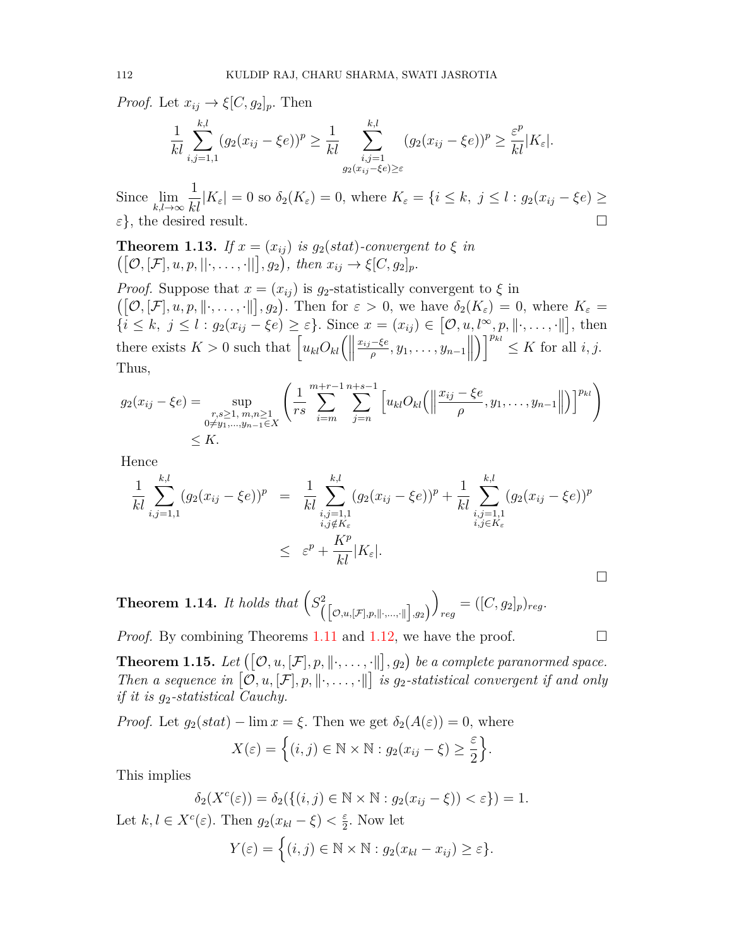*Proof.* Let  $x_{ij} \rightarrow \xi[C, g_2]_p$ *.* Then

$$
\frac{1}{kl}\sum_{i,j=1,1}^{k,l}(g_2(x_{ij}-\xi e))^p\geq \frac{1}{kl}\sum_{\substack{i,j=1\\ g_2(x_{ij}-\xi e)\geq \varepsilon}}^{k,l}(g_2(x_{ij}-\xi e))^p\geq \frac{\varepsilon^p}{kl}|K_{\varepsilon}|.
$$

Since lim *k,l→∞*  $\frac{1}{kl}|K_{\varepsilon}| = 0$  so  $\delta_2(K_{\varepsilon}) = 0$ , where  $K_{\varepsilon} = \{i \leq k, j \leq l : g_2(x_{ij} - \xi e) \geq$ *ε}*, the desired result. □

**Theorem 1.13.** *If*  $x = (x_{ij})$  *is*  $g_2(stat)$ *-convergent to*  $\xi$  *in*  $([\mathcal{O}, [\mathcal{F}], u, p, ||\cdot, \ldots, \cdot||], g_2), \text{ then } x_{ij} \to \xi[C, g_2]_p.$ 

*Proof.* Suppose that  $x = (x_{ij})$  is  $g_2$ -statistically convergent to  $\xi$  in  $([\mathcal{O}, [\mathcal{F}], u, p, \|\cdot, \ldots, \cdot\|], g_2)$ . Then for  $\varepsilon > 0$ , we have  $\delta_2(K_{\varepsilon}) = 0$ , where  $K_{\varepsilon} =$  $\{\tilde{i} \leq k, j \leq l : g_2(x_{ij} - \xi e) \geq \varepsilon\}.$  Since  $x = (x_{ij}) \in [\mathcal{O}, u, l^{\infty}, p, \|\cdot, \dots, \cdot\|],$  then there exists  $K > 0$  such that  $\left[ u_{kl} O_{kl} \right]$  $\frac{x_{ij}-\xi e}{\rho}, y_1, \ldots, y_{n-1}$  $\left[\int_{0}^{p_{kl}} \leq K$  for all *i*, *j*. Thus,

$$
g_2(x_{ij} - \xi e) = \sup_{\substack{r,s \ge 1, m,n \ge 1 \\ 0 \ne y_1, \dots, y_{n-1} \in X}} \left( \frac{1}{rs} \sum_{i=m}^{m+r-1} \sum_{j=n}^{n+s-1} \left[ u_{kl} O_{kl} \left( \left\| \frac{x_{ij} - \xi e}{\rho}, y_1, \dots, y_{n-1} \right\| \right) \right]^{p_{kl}} \right)
$$
  
  $\le K.$ 

Hence

$$
\frac{1}{kl} \sum_{i,j=1,1}^{k,l} (g_2(x_{ij} - \xi e))^p = \frac{1}{kl} \sum_{\substack{i,j=1,1 \ i,j \notin K_{\varepsilon}}}^{k,l} (g_2(x_{ij} - \xi e))^p + \frac{1}{kl} \sum_{\substack{i,j=1,1 \ i,j \in K_{\varepsilon}}}^{k,l} (g_2(x_{ij} - \xi e))^p
$$
\n
$$
\leq \varepsilon^p + \frac{K^p}{kl} |K_{\varepsilon}|.
$$

**Theorem 1.14.** *It holds that*  $(S^2_{([0,u,[\mathcal{F}],p,\parallel\cdot,\ldots,\cdot\parallel],g_2)}$  $\overline{ }$  $r_{reg} = ([C, g_2]_p)_{reg}.$ 

*Proof.* By combining Theorems [1.11](#page-9-2) and [1.12,](#page-9-3) we have the proof.  $\Box$ 

**Theorem 1.15.** Let  $([\mathcal{O}, u, [\mathcal{F}], p, \|\cdot, \ldots, \cdot\|], g_2)$  be a complete paranormed space. *Then a sequence in*  $[0, u, [\mathcal{F}], p, \|\cdot, \ldots, \cdot\|]$  *is g*<sub>2</sub>-statistical convergent if and only *if it is g*2*-statistical Cauchy.*

*Proof.* Let  $g_2(stat) - \lim x = \xi$ . Then we get  $\delta_2(A(\varepsilon)) = 0$ , where

$$
X(\varepsilon) = \left\{ (i,j) \in \mathbb{N} \times \mathbb{N} : g_2(x_{ij} - \xi) \ge \frac{\varepsilon}{2} \right\}.
$$

This implies

$$
\delta_2(X^c(\varepsilon)) = \delta_2(\{(i,j) \in \mathbb{N} \times \mathbb{N} : g_2(x_{ij} - \xi)) < \varepsilon\}) = 1.
$$

Let  $k, l \in X^c(\varepsilon)$ . Then  $g_2(x_{kl} - \xi) < \frac{\varepsilon}{2}$  $\frac{\varepsilon}{2}$ . Now let

$$
Y(\varepsilon) = \Big\{ (i,j) \in \mathbb{N} \times \mathbb{N} : g_2(x_{kl} - x_{ij}) \ge \varepsilon \Big\}.
$$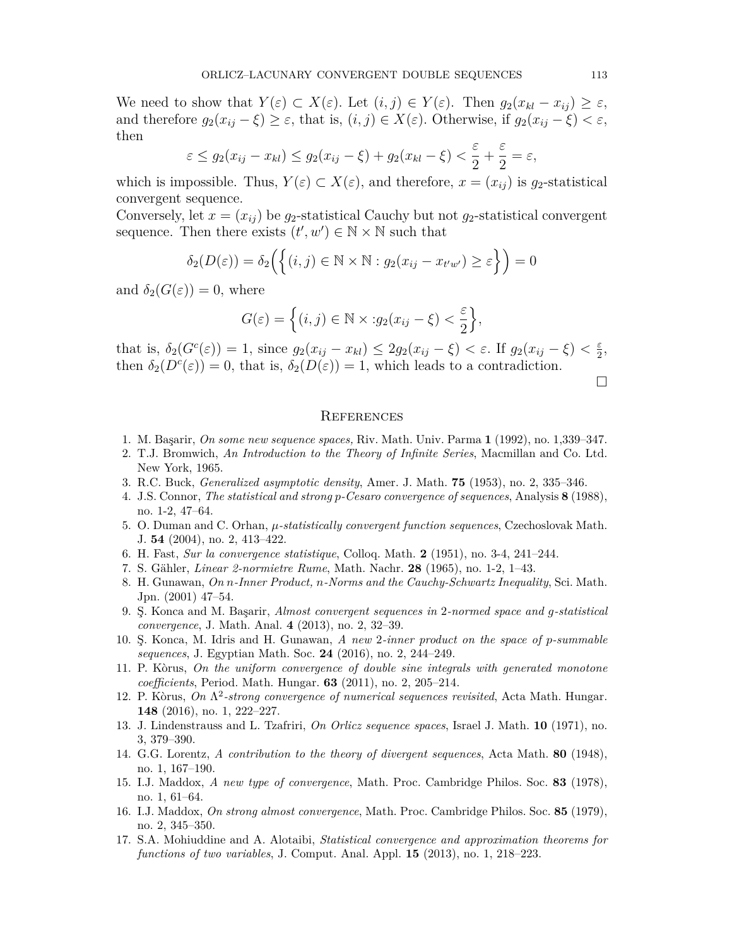We need to show that  $Y(\varepsilon) \subset X(\varepsilon)$ . Let  $(i, j) \in Y(\varepsilon)$ . Then  $g_2(x_{kl} - x_{ij}) \geq \varepsilon$ , and therefore  $g_2(x_{ij} - \xi) \geq \varepsilon$ , that is,  $(i, j) \in X(\varepsilon)$ . Otherwise, if  $g_2(x_{ij} - \xi) < \varepsilon$ , then

$$
\varepsilon \le g_2(x_{ij} - x_{kl}) \le g_2(x_{ij} - \xi) + g_2(x_{kl} - \xi) < \frac{\varepsilon}{2} + \frac{\varepsilon}{2} = \varepsilon,
$$

which is impossible. Thus,  $Y(\varepsilon) \subset X(\varepsilon)$ , and therefore,  $x = (x_{ij})$  is  $g_2$ -statistical convergent sequence.

Conversely, let  $x = (x_{ij})$  be  $g_2$ -statistical Cauchy but not  $g_2$ -statistical convergent sequence. Then there exists  $(t', w') \in \mathbb{N} \times \mathbb{N}$  such that

$$
\delta_2(D(\varepsilon)) = \delta_2\Big(\Big\{(i,j) \in \mathbb{N} \times \mathbb{N} : g_2(x_{ij} - x_{t'w'}) \ge \varepsilon\Big\}\Big) = 0
$$

and  $\delta_2(G(\varepsilon)) = 0$ , where

$$
G(\varepsilon) = \left\{ (i,j) \in \mathbb{N} \times : g_2(x_{ij} - \xi) < \frac{\varepsilon}{2} \right\},\
$$

that is,  $\delta_2(G^c(\varepsilon)) = 1$ , since  $g_2(x_{ij} - x_{kl}) \leq 2g_2(x_{ij} - \xi) < \varepsilon$ . If  $g_2(x_{ij} - \xi) < \frac{\varepsilon}{2}$  $\frac{\varepsilon}{2}$ , then  $\delta_2(D^c(\varepsilon)) = 0$ , that is,  $\delta_2(D(\varepsilon)) = 1$ , which leads to a contradiction.

□

#### **REFERENCES**

- <span id="page-11-7"></span>1. M. Başarir, *On some new sequence spaces,* Riv. Math. Univ. Parma **1** (1992), no. 1,339–347.
- <span id="page-11-0"></span>2. T.J. Bromwich, *An Introduction to the Theory of Infinite Series*, Macmillan and Co. Ltd. New York, 1965.
- <span id="page-11-13"></span>3. R.C. Buck, *Generalized asymptotic density*, Amer. J. Math. **75** (1953), no. 2, 335–346.
- <span id="page-11-14"></span>4. J.S. Connor, *The statistical and strong p-Cesaro convergence of sequences*, Analysis **8** (1988), no. 1-2, 47–64.
- <span id="page-11-15"></span>5. O. Duman and C. Orhan, *µ-statistically convergent function sequences*, Czechoslovak Math. J. **54** (2004), no. 2, 413–422.
- <span id="page-11-12"></span>6. H. Fast, *Sur la convergence statistique*, Colloq. Math. **2** (1951), no. 3-4, 241–244.
- <span id="page-11-8"></span>7. S. Gähler, *Linear 2-normietre Rume*, Math. Nachr. **28** (1965), no. 1-2, 1–43.
- <span id="page-11-9"></span>8. H. Gunawan, *On n-Inner Product, n-Norms and the Cauchy-Schwartz Inequality*, Sci. Math. Jpn. (2001) 47–54.
- <span id="page-11-2"></span>9. Ş. Konca and M. Başarir, *Almost convergent sequences in* 2*-normed space and g-statistical convergence*, J. Math. Anal. **4** (2013), no. 2, 32–39.
- <span id="page-11-10"></span>10. Ş. Konca, M. Idris and H. Gunawan, *A new* 2*-inner product on the space of p-summable sequences*, J. Egyptian Math. Soc. **24** (2016), no. 2, 244–249.
- <span id="page-11-5"></span>11. P. Kòrus, *On the uniform convergence of double sine integrals with generated monotone coefficients*, Period. Math. Hungar. **63** (2011), no. 2, 205–214.
- <span id="page-11-6"></span>12. P. Kòrus, *On* Λ 2 *-strong convergence of numerical sequences revisited*, Acta Math. Hungar. **148** (2016), no. 1, 222–227.
- <span id="page-11-11"></span>13. J. Lindenstrauss and L. Tzafriri, *On Orlicz sequence spaces*, Israel J. Math. **10** (1971), no. 3, 379–390.
- <span id="page-11-1"></span>14. G.G. Lorentz, *A contribution to the theory of divergent sequences*, Acta Math. **80** (1948), no. 1, 167–190.
- <span id="page-11-3"></span>15. I.J. Maddox, *A new type of convergence*, Math. Proc. Cambridge Philos. Soc. **83** (1978), no. 1, 61–64.
- <span id="page-11-4"></span>16. I.J. Maddox, *On strong almost convergence*, Math. Proc. Cambridge Philos. Soc. **85** (1979), no. 2, 345–350.
- <span id="page-11-16"></span>17. S.A. Mohiuddine and A. Alotaibi, *Statistical convergence and approximation theorems for functions of two variables*, J. Comput. Anal. Appl. **15** (2013), no. 1, 218–223.